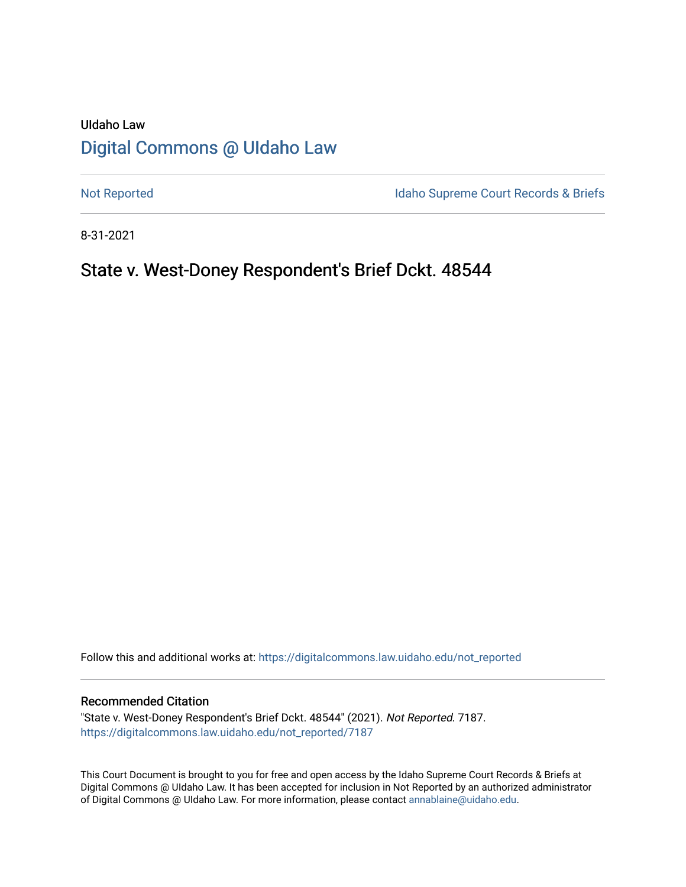# UIdaho Law [Digital Commons @ UIdaho Law](https://digitalcommons.law.uidaho.edu/)

[Not Reported](https://digitalcommons.law.uidaho.edu/not_reported) **Idaho Supreme Court Records & Briefs** 

8-31-2021

# State v. West-Doney Respondent's Brief Dckt. 48544

Follow this and additional works at: [https://digitalcommons.law.uidaho.edu/not\\_reported](https://digitalcommons.law.uidaho.edu/not_reported?utm_source=digitalcommons.law.uidaho.edu%2Fnot_reported%2F7187&utm_medium=PDF&utm_campaign=PDFCoverPages) 

#### Recommended Citation

"State v. West-Doney Respondent's Brief Dckt. 48544" (2021). Not Reported. 7187. [https://digitalcommons.law.uidaho.edu/not\\_reported/7187](https://digitalcommons.law.uidaho.edu/not_reported/7187?utm_source=digitalcommons.law.uidaho.edu%2Fnot_reported%2F7187&utm_medium=PDF&utm_campaign=PDFCoverPages)

This Court Document is brought to you for free and open access by the Idaho Supreme Court Records & Briefs at Digital Commons @ UIdaho Law. It has been accepted for inclusion in Not Reported by an authorized administrator of Digital Commons @ UIdaho Law. For more information, please contact [annablaine@uidaho.edu](mailto:annablaine@uidaho.edu).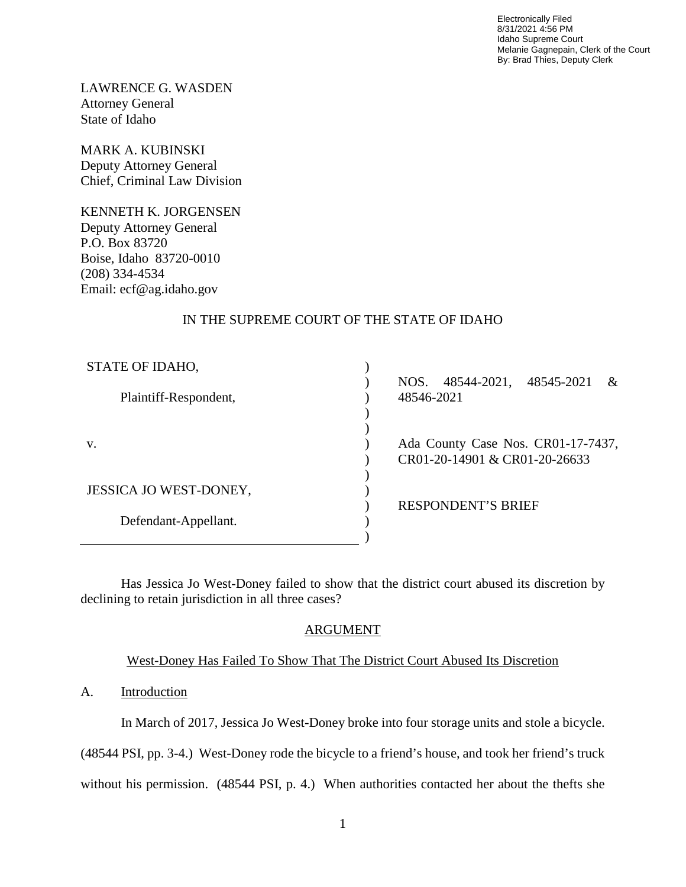Electronically Filed 8/31/2021 4:56 PM Idaho Supreme Court Melanie Gagnepain, Clerk of the Court By: Brad Thies, Deputy Clerk

LAWRENCE G. WASDEN Attorney General State of Idaho

MARK A. KUBINSKI Deputy Attorney General Chief, Criminal Law Division

KENNETH K. JORGENSEN Deputy Attorney General P.O. Box 83720 Boise, Idaho 83720-0010 (208) 334-4534 Email: ecf@ag.idaho.gov

### IN THE SUPREME COURT OF THE STATE OF IDAHO

| STATE OF IDAHO,        |                                                                  |
|------------------------|------------------------------------------------------------------|
|                        | 48544-2021,<br>48545-2021<br>NOS.<br>$\mathcal{R}_{\mathcal{L}}$ |
| Plaintiff-Respondent,  | 48546-2021                                                       |
|                        |                                                                  |
|                        |                                                                  |
| V.                     | Ada County Case Nos. CR01-17-7437,                               |
|                        | CR01-20-14901 & CR01-20-26633                                    |
|                        |                                                                  |
| JESSICA JO WEST-DONEY, |                                                                  |
|                        | <b>RESPONDENT'S BRIEF</b>                                        |
| Defendant-Appellant.   |                                                                  |
|                        |                                                                  |

Has Jessica Jo West-Doney failed to show that the district court abused its discretion by declining to retain jurisdiction in all three cases?

### ARGUMENT

### West-Doney Has Failed To Show That The District Court Abused Its Discretion

## A. Introduction

In March of 2017, Jessica Jo West-Doney broke into four storage units and stole a bicycle.

(48544 PSI, pp. 3-4.) West-Doney rode the bicycle to a friend's house, and took her friend's truck

without his permission. (48544 PSI, p. 4.) When authorities contacted her about the thefts she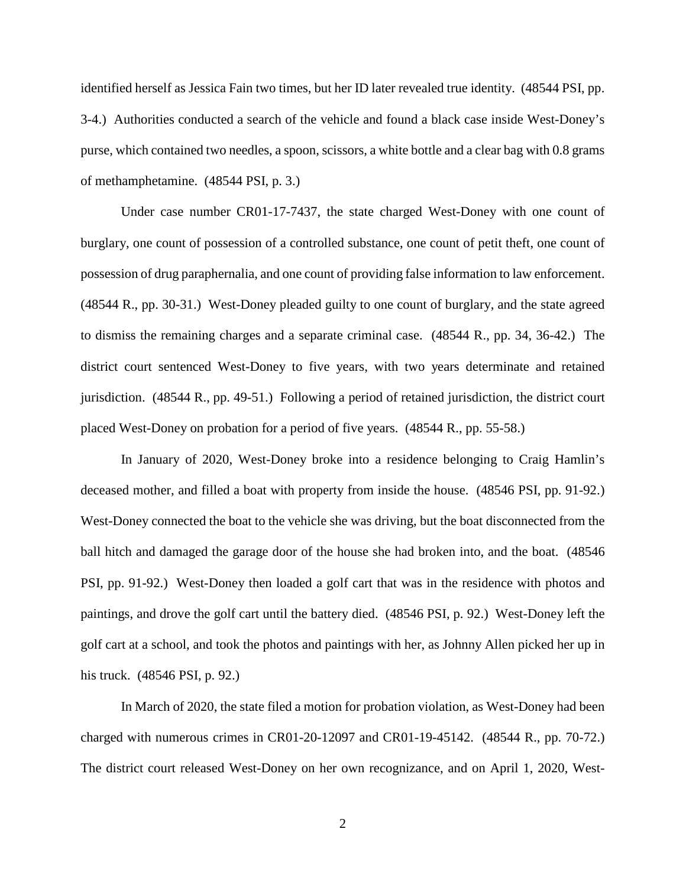identified herself as Jessica Fain two times, but her ID later revealed true identity. (48544 PSI, pp. 3-4.) Authorities conducted a search of the vehicle and found a black case inside West-Doney's purse, which contained two needles, a spoon, scissors, a white bottle and a clear bag with 0.8 grams of methamphetamine. (48544 PSI, p. 3.)

Under case number CR01-17-7437, the state charged West-Doney with one count of burglary, one count of possession of a controlled substance, one count of petit theft, one count of possession of drug paraphernalia, and one count of providing false information to law enforcement. (48544 R., pp. 30-31.) West-Doney pleaded guilty to one count of burglary, and the state agreed to dismiss the remaining charges and a separate criminal case. (48544 R., pp. 34, 36-42.) The district court sentenced West-Doney to five years, with two years determinate and retained jurisdiction. (48544 R., pp. 49-51.) Following a period of retained jurisdiction, the district court placed West-Doney on probation for a period of five years. (48544 R., pp. 55-58.)

In January of 2020, West-Doney broke into a residence belonging to Craig Hamlin's deceased mother, and filled a boat with property from inside the house. (48546 PSI, pp. 91-92.) West-Doney connected the boat to the vehicle she was driving, but the boat disconnected from the ball hitch and damaged the garage door of the house she had broken into, and the boat. (48546 PSI, pp. 91-92.) West-Doney then loaded a golf cart that was in the residence with photos and paintings, and drove the golf cart until the battery died. (48546 PSI, p. 92.) West-Doney left the golf cart at a school, and took the photos and paintings with her, as Johnny Allen picked her up in his truck. (48546 PSI, p. 92.)

In March of 2020, the state filed a motion for probation violation, as West-Doney had been charged with numerous crimes in CR01-20-12097 and CR01-19-45142. (48544 R., pp. 70-72.) The district court released West-Doney on her own recognizance, and on April 1, 2020, West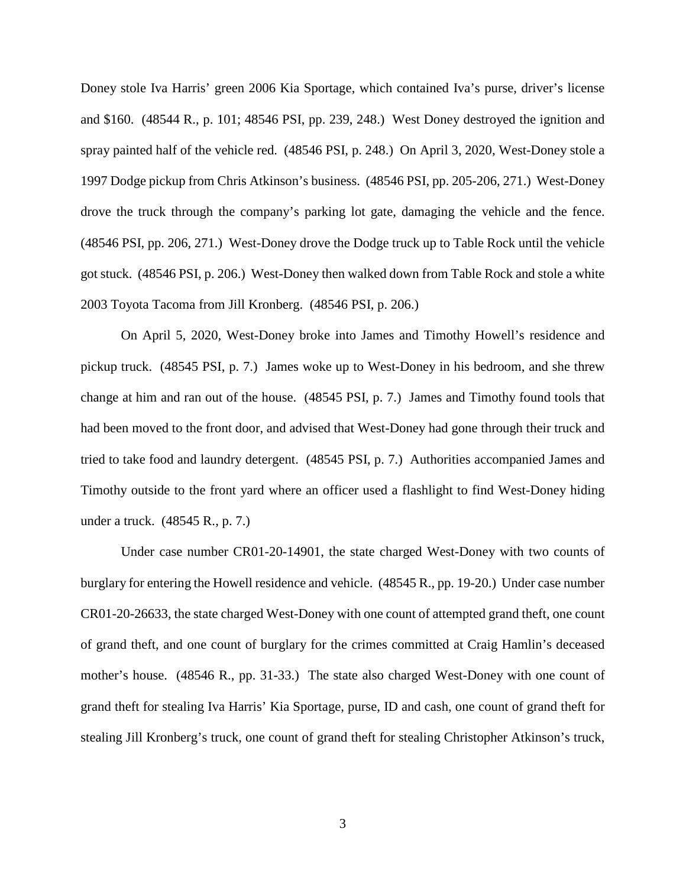Doney stole Iva Harris' green 2006 Kia Sportage, which contained Iva's purse, driver's license and \$160. (48544 R., p. 101; 48546 PSI, pp. 239, 248.) West Doney destroyed the ignition and spray painted half of the vehicle red. (48546 PSI, p. 248.) On April 3, 2020, West-Doney stole a 1997 Dodge pickup from Chris Atkinson's business. (48546 PSI, pp. 205-206, 271.) West-Doney drove the truck through the company's parking lot gate, damaging the vehicle and the fence. (48546 PSI, pp. 206, 271.) West-Doney drove the Dodge truck up to Table Rock until the vehicle got stuck. (48546 PSI, p. 206.) West-Doney then walked down from Table Rock and stole a white 2003 Toyota Tacoma from Jill Kronberg. (48546 PSI, p. 206.)

On April 5, 2020, West-Doney broke into James and Timothy Howell's residence and pickup truck. (48545 PSI, p. 7.) James woke up to West-Doney in his bedroom, and she threw change at him and ran out of the house. (48545 PSI, p. 7.) James and Timothy found tools that had been moved to the front door, and advised that West-Doney had gone through their truck and tried to take food and laundry detergent. (48545 PSI, p. 7.) Authorities accompanied James and Timothy outside to the front yard where an officer used a flashlight to find West-Doney hiding under a truck. (48545 R., p. 7.)

Under case number CR01-20-14901, the state charged West-Doney with two counts of burglary for entering the Howell residence and vehicle. (48545 R., pp. 19-20.) Under case number CR01-20-26633, the state charged West-Doney with one count of attempted grand theft, one count of grand theft, and one count of burglary for the crimes committed at Craig Hamlin's deceased mother's house. (48546 R., pp. 31-33.) The state also charged West-Doney with one count of grand theft for stealing Iva Harris' Kia Sportage, purse, ID and cash, one count of grand theft for stealing Jill Kronberg's truck, one count of grand theft for stealing Christopher Atkinson's truck,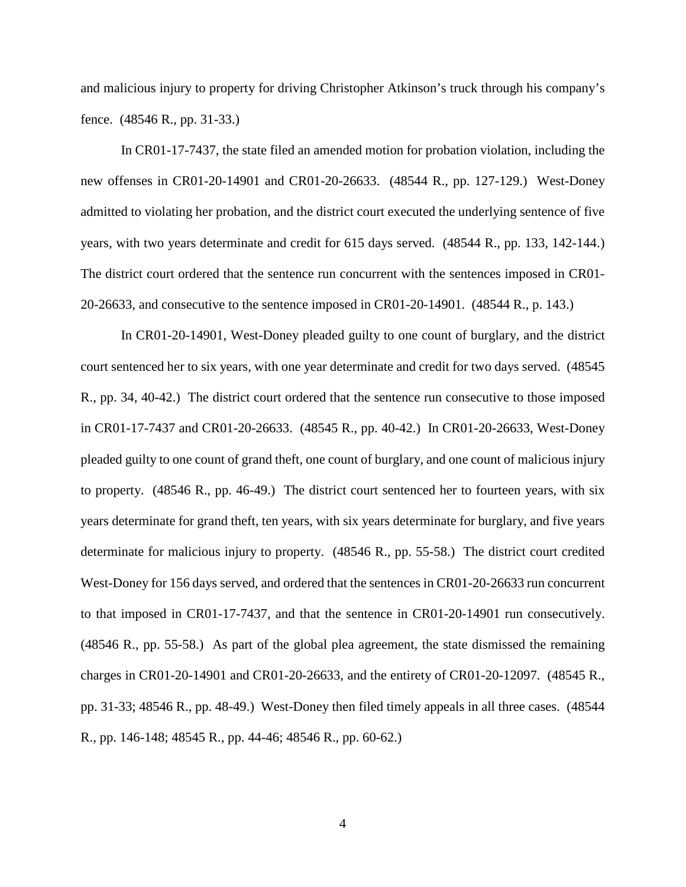and malicious injury to property for driving Christopher Atkinson's truck through his company's fence. (48546 R., pp. 31-33.)

In CR01-17-7437, the state filed an amended motion for probation violation, including the new offenses in CR01-20-14901 and CR01-20-26633. (48544 R., pp. 127-129.) West-Doney admitted to violating her probation, and the district court executed the underlying sentence of five years, with two years determinate and credit for 615 days served. (48544 R., pp. 133, 142-144.) The district court ordered that the sentence run concurrent with the sentences imposed in CR01- 20-26633, and consecutive to the sentence imposed in CR01-20-14901. (48544 R., p. 143.)

In CR01-20-14901, West-Doney pleaded guilty to one count of burglary, and the district court sentenced her to six years, with one year determinate and credit for two days served. (48545 R., pp. 34, 40-42.) The district court ordered that the sentence run consecutive to those imposed in CR01-17-7437 and CR01-20-26633. (48545 R., pp. 40-42.) In CR01-20-26633, West-Doney pleaded guilty to one count of grand theft, one count of burglary, and one count of malicious injury to property. (48546 R., pp. 46-49.) The district court sentenced her to fourteen years, with six years determinate for grand theft, ten years, with six years determinate for burglary, and five years determinate for malicious injury to property. (48546 R., pp. 55-58.) The district court credited West-Doney for 156 days served, and ordered that the sentences in CR01-20-26633 run concurrent to that imposed in CR01-17-7437, and that the sentence in CR01-20-14901 run consecutively. (48546 R., pp. 55-58.) As part of the global plea agreement, the state dismissed the remaining charges in CR01-20-14901 and CR01-20-26633, and the entirety of CR01-20-12097. (48545 R., pp. 31-33; 48546 R., pp. 48-49.) West-Doney then filed timely appeals in all three cases. (48544 R., pp. 146-148; 48545 R., pp. 44-46; 48546 R., pp. 60-62.)

4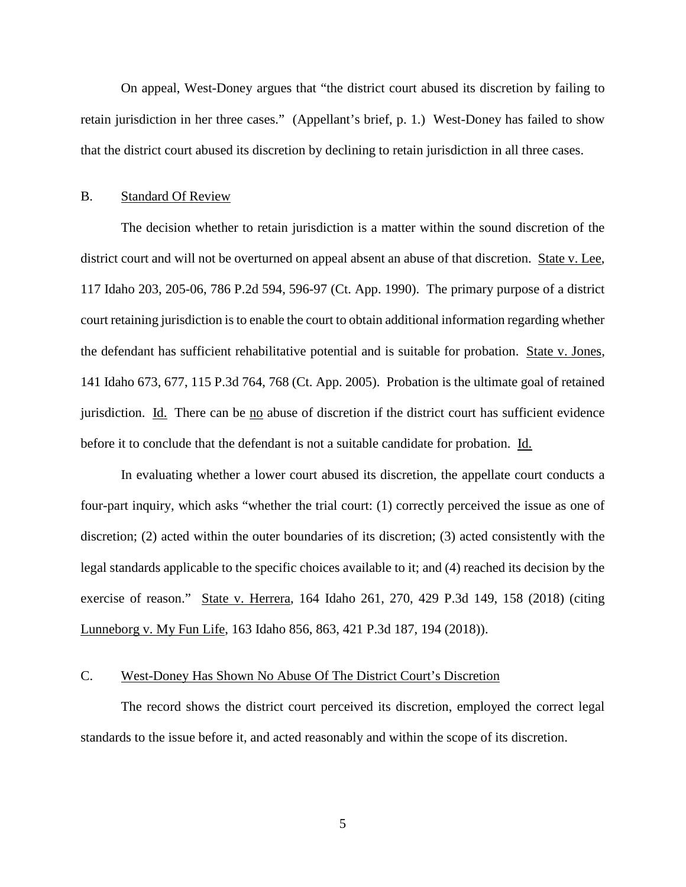On appeal, West-Doney argues that "the district court abused its discretion by failing to retain jurisdiction in her three cases." (Appellant's brief, p. 1.) West-Doney has failed to show that the district court abused its discretion by declining to retain jurisdiction in all three cases.

#### B. Standard Of Review

The decision whether to retain jurisdiction is a matter within the sound discretion of the district court and will not be overturned on appeal absent an abuse of that discretion. State v. Lee, 117 Idaho 203, 205-06, 786 P.2d 594, 596-97 (Ct. App. 1990). The primary purpose of a district court retaining jurisdiction is to enable the court to obtain additional information regarding whether the defendant has sufficient rehabilitative potential and is suitable for probation. State v. Jones, 141 Idaho 673, 677, 115 P.3d 764, 768 (Ct. App. 2005). Probation is the ultimate goal of retained jurisdiction. Id. There can be no abuse of discretion if the district court has sufficient evidence before it to conclude that the defendant is not a suitable candidate for probation. Id.

In evaluating whether a lower court abused its discretion, the appellate court conducts a four-part inquiry, which asks "whether the trial court: (1) correctly perceived the issue as one of discretion; (2) acted within the outer boundaries of its discretion; (3) acted consistently with the legal standards applicable to the specific choices available to it; and (4) reached its decision by the exercise of reason." State v. Herrera, 164 Idaho 261, 270, 429 P.3d 149, 158 (2018) (citing Lunneborg v. My Fun Life, 163 Idaho 856, 863, 421 P.3d 187, 194 (2018)).

#### C. West-Doney Has Shown No Abuse Of The District Court's Discretion

The record shows the district court perceived its discretion, employed the correct legal standards to the issue before it, and acted reasonably and within the scope of its discretion.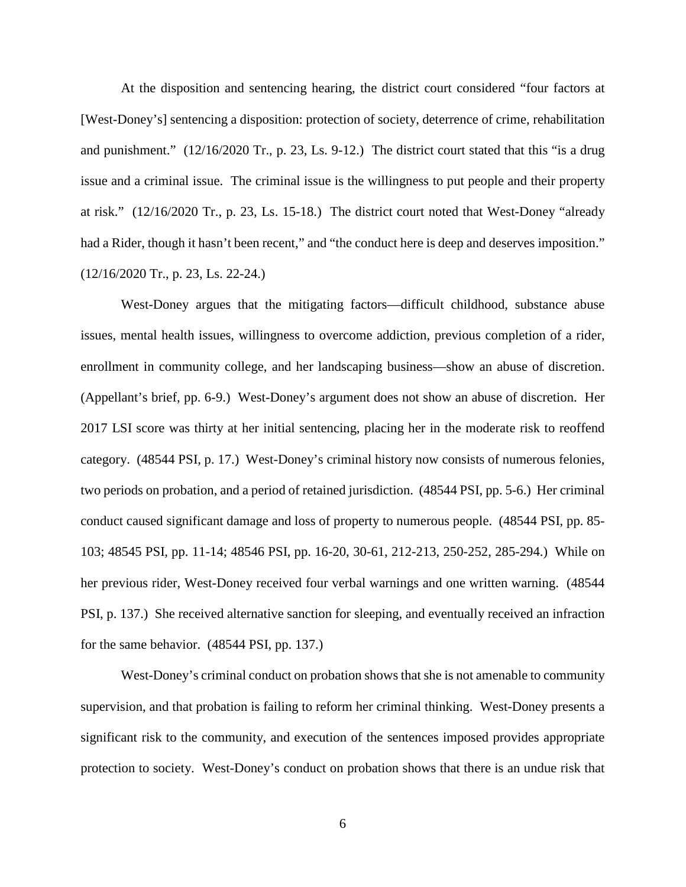At the disposition and sentencing hearing, the district court considered "four factors at [West-Doney's] sentencing a disposition: protection of society, deterrence of crime, rehabilitation and punishment." (12/16/2020 Tr., p. 23, Ls. 9-12.) The district court stated that this "is a drug issue and a criminal issue. The criminal issue is the willingness to put people and their property at risk." (12/16/2020 Tr., p. 23, Ls. 15-18.) The district court noted that West-Doney "already had a Rider, though it hasn't been recent," and "the conduct here is deep and deserves imposition." (12/16/2020 Tr., p. 23, Ls. 22-24.)

West-Doney argues that the mitigating factors—difficult childhood, substance abuse issues, mental health issues, willingness to overcome addiction, previous completion of a rider, enrollment in community college, and her landscaping business—show an abuse of discretion. (Appellant's brief, pp. 6-9.) West-Doney's argument does not show an abuse of discretion. Her 2017 LSI score was thirty at her initial sentencing, placing her in the moderate risk to reoffend category. (48544 PSI, p. 17.) West-Doney's criminal history now consists of numerous felonies, two periods on probation, and a period of retained jurisdiction. (48544 PSI, pp. 5-6.) Her criminal conduct caused significant damage and loss of property to numerous people. (48544 PSI, pp. 85- 103; 48545 PSI, pp. 11-14; 48546 PSI, pp. 16-20, 30-61, 212-213, 250-252, 285-294.) While on her previous rider, West-Doney received four verbal warnings and one written warning. (48544 PSI, p. 137.) She received alternative sanction for sleeping, and eventually received an infraction for the same behavior. (48544 PSI, pp. 137.)

West-Doney's criminal conduct on probation shows that she is not amenable to community supervision, and that probation is failing to reform her criminal thinking. West-Doney presents a significant risk to the community, and execution of the sentences imposed provides appropriate protection to society. West-Doney's conduct on probation shows that there is an undue risk that